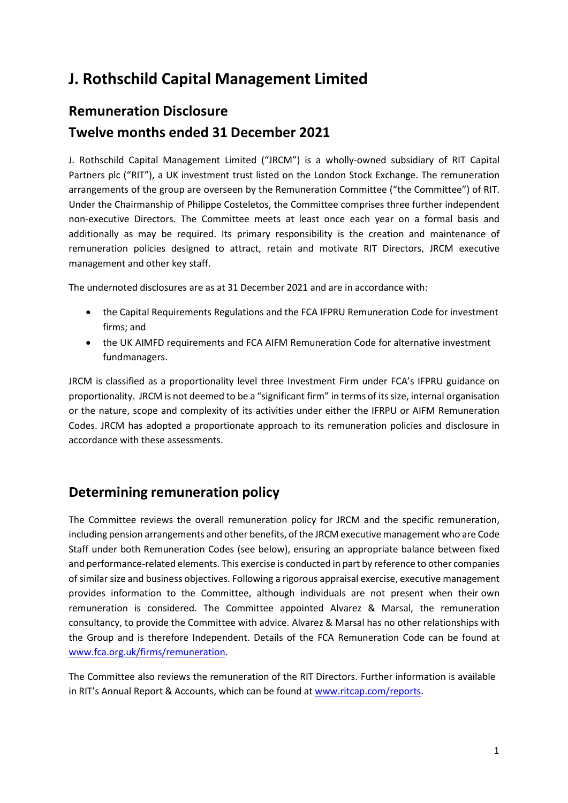# **J. Rothschild Capital Management Limited**

# **Remuneration Disclosure Twelve months ended 31 December 2021**

J. Rothschild Capital Management Limited ("JRCM") is a wholly-owned subsidiary of RIT Capital Partners plc ("RIT"), a UK investment trust listed on the London Stock Exchange. The remuneration arrangements of the group are overseen by the Remuneration Committee ("the Committee") of RIT. Under the Chairmanship of Philippe Costeletos, the Committee comprises three further independent non-executive Directors. The Committee meets at least once each year on a formal basis and additionally as may be required. Its primary responsibility is the creation and maintenance of remuneration policies designed to attract, retain and motivate RIT Directors, JRCM executive management and other key staff.

The undernoted disclosures are as at 31 December 2021 and are in accordance with:

- the Capital Requirements Regulations and the FCA IFPRU Remuneration Code for investment firms; and
- the UK AIMFD requirements and FCA AIFM Remuneration Code for alternative investment fundmanagers.

JRCM is classified as a proportionality level three Investment Firm under FCA's IFPRU guidance on proportionality. JRCM is not deemed to be a "significant firm" in terms of itssize, internal organisation or the nature, scope and complexity of its activities under either the IFRPU or AIFM Remuneration Codes. JRCM has adopted a proportionate approach to its remuneration policies and disclosure in accordance with these assessments.

### **Determining remuneration policy**

The Committee reviews the overall remuneration policy for JRCM and the specific remuneration, including pension arrangements and other benefits, of the JRCM executive management who are Code Staff under both Remuneration Codes (see below), ensuring an appropriate balance between fixed and performance-related elements. This exercise is conducted in part by reference to other companies of similar size and business objectives. Following a rigorous appraisal exercise, executive management provides information to the Committee, although individuals are not present when their own remuneration is considered. The Committee appointed Alvarez & Marsal, the remuneration consultancy, to provide the Committee with advice. Alvarez & Marsal has no other relationships with the Group and is therefore Independent. Details of the FCA Remuneration Code can be found at [www.fca.org.uk/firms/remuneration.](http://www.fca.org.uk/firms/remuneration)

The Committee also reviews the remuneration of the RIT Directors. Further information is available in RIT's Annual Report & Accounts, which can be found at [www.ritcap.com/reports.](http://www.ritcap.com/reports)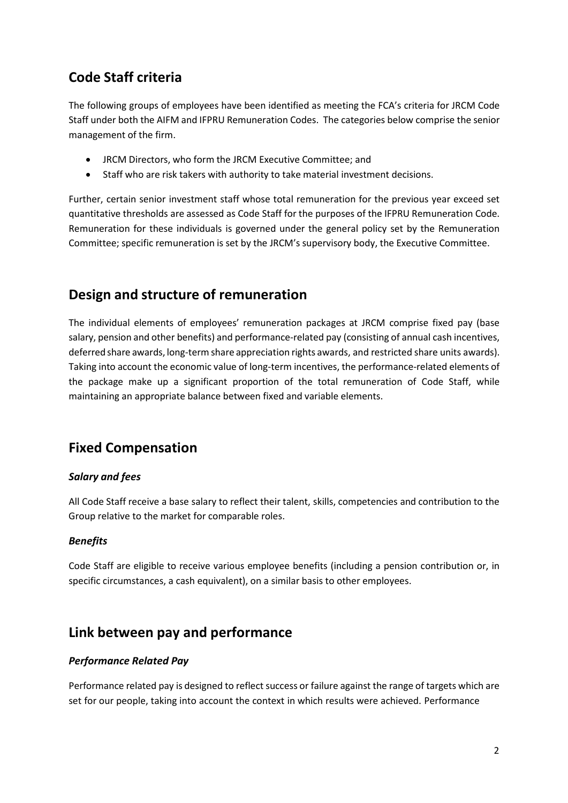## **Code Staff criteria**

The following groups of employees have been identified as meeting the FCA's criteria for JRCM Code Staff under both the AIFM and IFPRU Remuneration Codes. The categories below comprise the senior management of the firm.

- JRCM Directors, who form the JRCM Executive Committee; and
- Staff who are risk takers with authority to take material investment decisions.

Further, certain senior investment staff whose total remuneration for the previous year exceed set quantitative thresholds are assessed as Code Staff for the purposes of the IFPRU Remuneration Code. Remuneration for these individuals is governed under the general policy set by the Remuneration Committee; specific remuneration is set by the JRCM's supervisory body, the Executive Committee.

### **Design and structure of remuneration**

The individual elements of employees' remuneration packages at JRCM comprise fixed pay (base salary, pension and other benefits) and performance-related pay (consisting of annual cash incentives, deferred share awards, long-termshare appreciation rights awards, and restricted share units awards). Taking into account the economic value of long-term incentives, the performance-related elements of the package make up a significant proportion of the total remuneration of Code Staff, while maintaining an appropriate balance between fixed and variable elements.

### **Fixed Compensation**

### *Salary and fees*

All Code Staff receive a base salary to reflect their talent, skills, competencies and contribution to the Group relative to the market for comparable roles.

#### *Benefits*

Code Staff are eligible to receive various employee benefits (including a pension contribution or, in specific circumstances, a cash equivalent), on a similar basis to other employees.

### **Link between pay and performance**

#### *Performance Related Pay*

Performance related pay is designed to reflect success or failure against the range of targets which are set for our people, taking into account the context in which results were achieved. Performance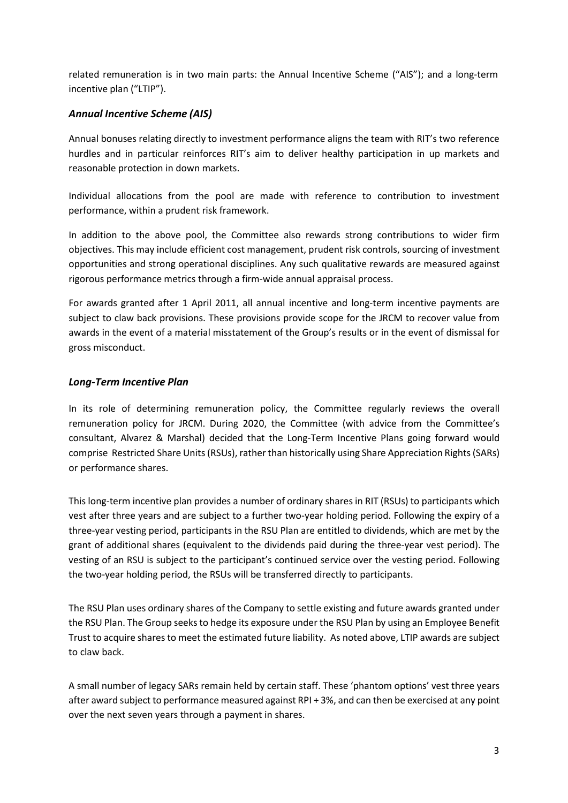related remuneration is in two main parts: the Annual Incentive Scheme ("AIS"); and a long-term incentive plan ("LTIP").

### *Annual Incentive Scheme (AIS)*

Annual bonuses relating directly to investment performance aligns the team with RIT's two reference hurdles and in particular reinforces RIT's aim to deliver healthy participation in up markets and reasonable protection in down markets.

Individual allocations from the pool are made with reference to contribution to investment performance, within a prudent risk framework.

In addition to the above pool, the Committee also rewards strong contributions to wider firm objectives. This may include efficient cost management, prudent risk controls, sourcing of investment opportunities and strong operational disciplines. Any such qualitative rewards are measured against rigorous performance metrics through a firm-wide annual appraisal process.

For awards granted after 1 April 2011, all annual incentive and long-term incentive payments are subject to claw back provisions. These provisions provide scope for the JRCM to recover value from awards in the event of a material misstatement of the Group's results or in the event of dismissal for gross misconduct.

#### *Long‐Term Incentive Plan*

In its role of determining remuneration policy, the Committee regularly reviews the overall remuneration policy for JRCM. During 2020, the Committee (with advice from the Committee's consultant, Alvarez & Marshal) decided that the Long-Term Incentive Plans going forward would comprise Restricted Share Units (RSUs), rather than historically using Share Appreciation Rights (SARs) or performance shares.

This long-term incentive plan provides a number of ordinary shares in RIT (RSUs) to participants which vest after three years and are subject to a further two-year holding period. Following the expiry of a three-year vesting period, participants in the RSU Plan are entitled to dividends, which are met by the grant of additional shares (equivalent to the dividends paid during the three-year vest period). The vesting of an RSU is subject to the participant's continued service over the vesting period. Following the two-year holding period, the RSUs will be transferred directly to participants.

The RSU Plan uses ordinary shares of the Company to settle existing and future awards granted under the RSU Plan. The Group seeks to hedge its exposure under the RSU Plan by using an Employee Benefit Trust to acquire shares to meet the estimated future liability. As noted above, LTIP awards are subject to claw back.

A small number of legacy SARs remain held by certain staff. These 'phantom options' vest three years after award subject to performance measured against RPI + 3%, and can then be exercised at any point over the next seven years through a payment in shares.